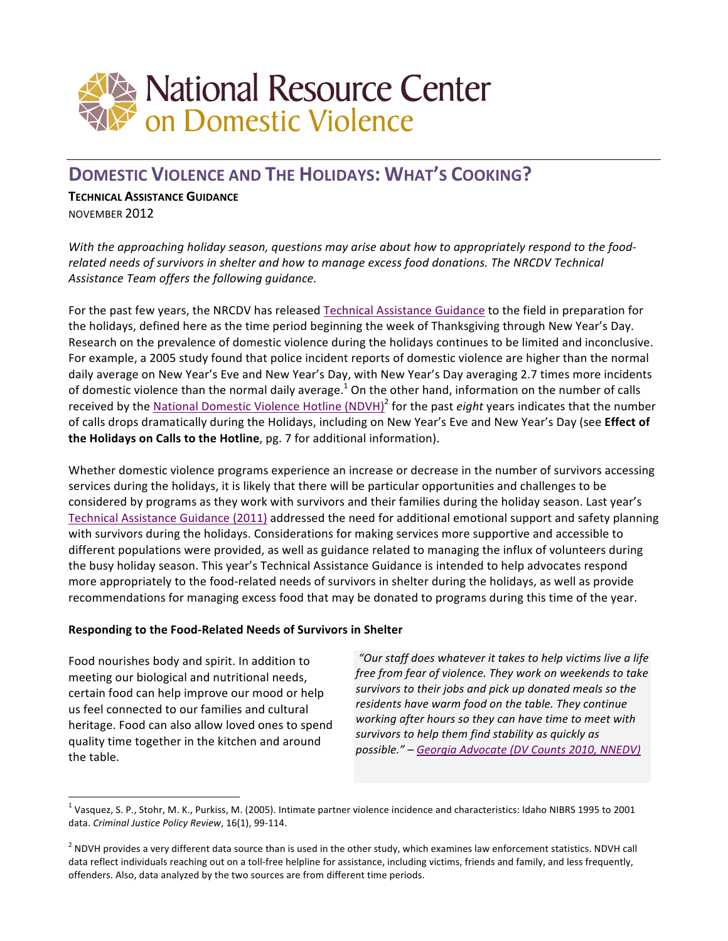

# **DOMESTIC VIOLENCE AND THE HOLIDAYS: WHAT'S COOKING?**

## **TECHNICAL ASSISTANCE GUIDANCE**

NOVEMBER 2012

With the approaching holiday season, questions may arise about how to appropriately respond to the foodrelated needs of survivors in shelter and how to manage excess food donations. The NRCDV Technical Assistance Team offers the following guidance.

For the past few years, the NRCDV has released Technical Assistance Guidance to the field in preparation for the holidays, defined here as the time period beginning the week of Thanksgiving through New Year's Day. Research on the prevalence of domestic violence during the holidays continues to be limited and inconclusive. For example, a 2005 study found that police incident reports of domestic violence are higher than the normal daily average on New Year's Eve and New Year's Day, with New Year's Day averaging 2.7 times more incidents of domestic violence than the normal daily average.<sup>1</sup> On the other hand, information on the number of calls received by the National Domestic Violence Hotline (NDVH)<sup>2</sup> for the past *eight* years indicates that the number of calls drops dramatically during the Holidays, including on New Year's Eve and New Year's Day (see Effect of **the Holidays on Calls to the Hotline**, pg. 7 for additional information).

Whether domestic violence programs experience an increase or decrease in the number of survivors accessing services during the holidays, it is likely that there will be particular opportunities and challenges to be considered by programs as they work with survivors and their families during the holiday season. Last year's Technical Assistance Guidance (2011) addressed the need for additional emotional support and safety planning with survivors during the holidays. Considerations for making services more supportive and accessible to different populations were provided, as well as guidance related to managing the influx of volunteers during the busy holiday season. This year's Technical Assistance Guidance is intended to help advocates respond more appropriately to the food-related needs of survivors in shelter during the holidays, as well as provide recommendations for managing excess food that may be donated to programs during this time of the year.

# **Responding to the Food-Related Needs of Survivors in Shelter**

Food nourishes body and spirit. In addition to meeting our biological and nutritional needs, certain food can help improve our mood or help us feel connected to our families and cultural heritage. Food can also allow loved ones to spend quality time together in the kitchen and around the table.

 

"Our staff does whatever it takes to help victims live a life *free from fear of violence. They work on weekends to take* survivors to their jobs and pick up donated meals so the residents have warm food on the table. They continue working after hours so they can have time to meet with survivors to help them find stability as quickly as *possible." – [Georgia Advocate \(DV Counts 2010, NNEDV\)](http://nnedv.org/docs/Census/DVCounts2010/DVCounts10_Report_Color.pdf)*

 $^1$  Vasquez, S. P., Stohr, M. K., Purkiss, M. (2005). Intimate partner violence incidence and characteristics: Idaho NIBRS 1995 to 2001 data. *Criminal Justice Policy Review*, 16(1), 99-114.

 $^2$  NDVH provides a very different data source than is used in the other study, which examines law enforcement statistics. NDVH call data reflect individuals reaching out on a toll-free helpline for assistance, including victims, friends and family, and less frequently, offenders. Also, data analyzed by the two sources are from different time periods.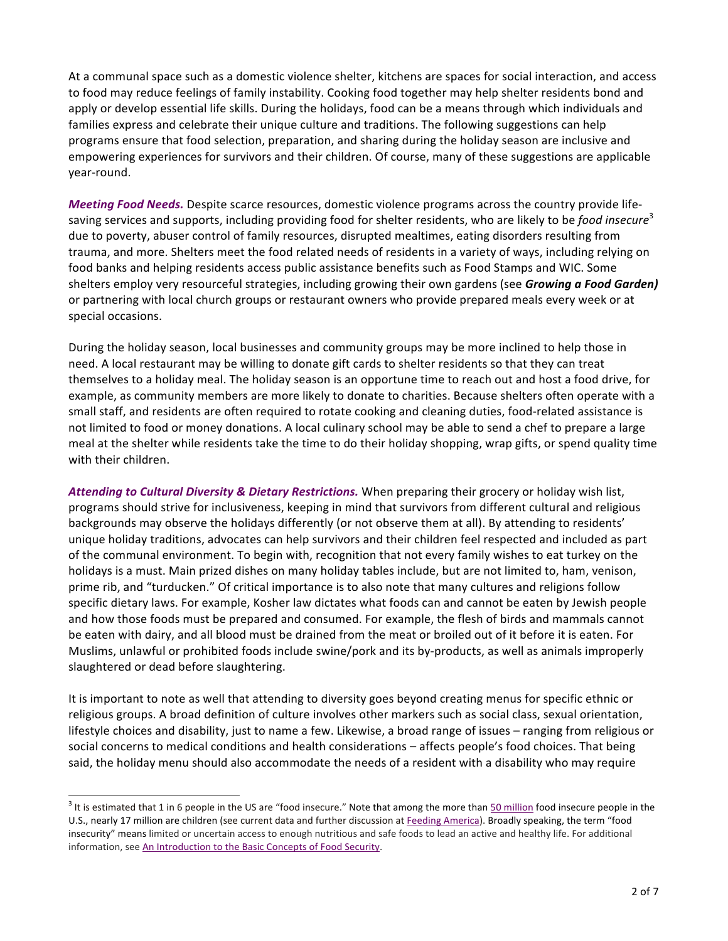At a communal space such as a domestic violence shelter, kitchens are spaces for social interaction, and access to food may reduce feelings of family instability. Cooking food together may help shelter residents bond and apply or develop essential life skills. During the holidays, food can be a means through which individuals and families express and celebrate their unique culture and traditions. The following suggestions can help programs ensure that food selection, preparation, and sharing during the holiday season are inclusive and empowering experiences for survivors and their children. Of course, many of these suggestions are applicable year-round. 

*Meeting Food Needs.* Despite scarce resources, domestic violence programs across the country provide lifesaving services and supports, including providing food for shelter residents, who are likely to be *food insecure*<sup>3</sup> due to poverty, abuser control of family resources, disrupted mealtimes, eating disorders resulting from trauma, and more. Shelters meet the food related needs of residents in a variety of ways, including relying on food banks and helping residents access public assistance benefits such as Food Stamps and WIC. Some shelters employ very resourceful strategies, including growing their own gardens (see *Growing a Food Garden)* or partnering with local church groups or restaurant owners who provide prepared meals every week or at special occasions.

During the holiday season, local businesses and community groups may be more inclined to help those in need. A local restaurant may be willing to donate gift cards to shelter residents so that they can treat themselves to a holiday meal. The holiday season is an opportune time to reach out and host a food drive, for example, as community members are more likely to donate to charities. Because shelters often operate with a small staff, and residents are often required to rotate cooking and cleaning duties, food-related assistance is not limited to food or money donations. A local culinary school may be able to send a chef to prepare a large meal at the shelter while residents take the time to do their holiday shopping, wrap gifts, or spend quality time with their children.

Attending to Cultural Diversity & Dietary Restrictions. When preparing their grocery or holiday wish list, programs should strive for inclusiveness, keeping in mind that survivors from different cultural and religious backgrounds may observe the holidays differently (or not observe them at all). By attending to residents' unique holiday traditions, advocates can help survivors and their children feel respected and included as part of the communal environment. To begin with, recognition that not every family wishes to eat turkey on the holidays is a must. Main prized dishes on many holiday tables include, but are not limited to, ham, venison, prime rib, and "turducken." Of critical importance is to also note that many cultures and religions follow specific dietary laws. For example, Kosher law dictates what foods can and cannot be eaten by Jewish people and how those foods must be prepared and consumed. For example, the flesh of birds and mammals cannot be eaten with dairy, and all blood must be drained from the meat or broiled out of it before it is eaten. For Muslims, unlawful or prohibited foods include swine/pork and its by-products, as well as animals improperly slaughtered or dead before slaughtering.

It is important to note as well that attending to diversity goes beyond creating menus for specific ethnic or religious groups. A broad definition of culture involves other markers such as social class, sexual orientation, lifestyle choices and disability, just to name a few. Likewise, a broad range of issues – ranging from religious or social concerns to medical conditions and health considerations – affects people's food choices. That being said, the holiday menu should also accommodate the needs of a resident with a disability who may require

 

 $3$  It is estimated that 1 in 6 people in the US are "food insecure." Note that among the more than  $50$  million food insecure people in the U.S., nearly 17 million are children (see current data and further discussion at Feeding America). Broadly speaking, the term "food insecurity" means limited or uncertain access to enough nutritious and safe foods to lead an active and healthy life. For additional information, see An Introduction to the Basic Concepts of Food Security.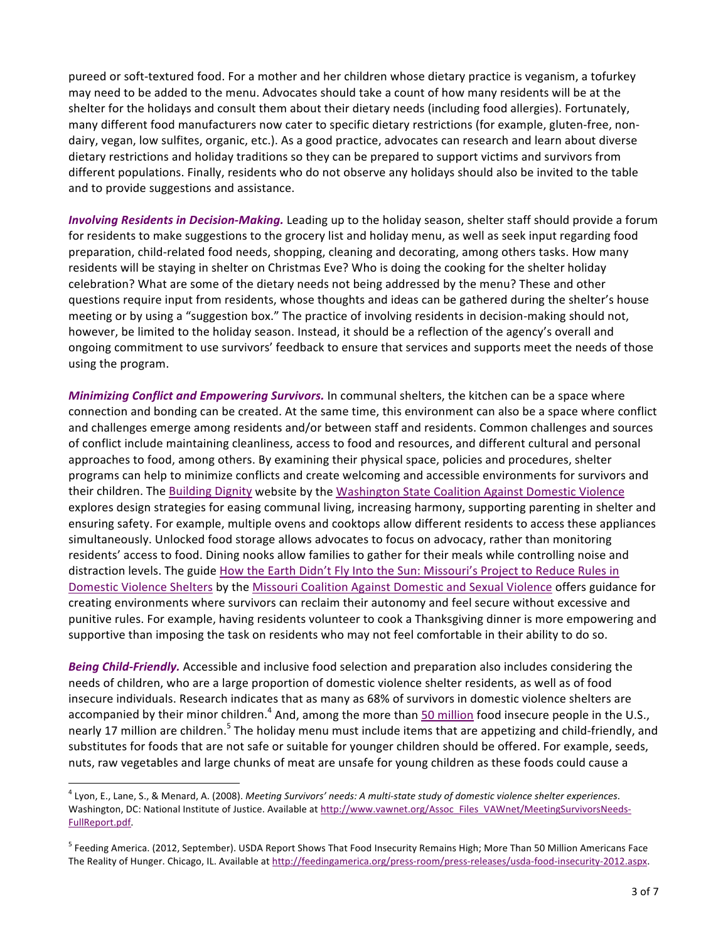pureed or soft-textured food. For a mother and her children whose dietary practice is veganism, a tofurkey may need to be added to the menu. Advocates should take a count of how many residents will be at the shelter for the holidays and consult them about their dietary needs (including food allergies). Fortunately, many different food manufacturers now cater to specific dietary restrictions (for example, gluten-free, nondairy, vegan, low sulfites, organic, etc.). As a good practice, advocates can research and learn about diverse dietary restrictions and holiday traditions so they can be prepared to support victims and survivors from different populations. Finally, residents who do not observe any holidays should also be invited to the table and to provide suggestions and assistance.

*Involving Residents in Decision-Making.* Leading up to the holiday season, shelter staff should provide a forum for residents to make suggestions to the grocery list and holiday menu, as well as seek input regarding food preparation, child-related food needs, shopping, cleaning and decorating, among others tasks. How many residents will be staying in shelter on Christmas Eve? Who is doing the cooking for the shelter holiday celebration? What are some of the dietary needs not being addressed by the menu? These and other questions require input from residents, whose thoughts and ideas can be gathered during the shelter's house meeting or by using a "suggestion box." The practice of involving residents in decision-making should not, however, be limited to the holiday season. Instead, it should be a reflection of the agency's overall and ongoing commitment to use survivors' feedback to ensure that services and supports meet the needs of those using the program.

*Minimizing Conflict and Empowering Survivors.* In communal shelters, the kitchen can be a space where connection and bonding can be created. At the same time, this environment can also be a space where conflict and challenges emerge among residents and/or between staff and residents. Common challenges and sources of conflict include maintaining cleanliness, access to food and resources, and different cultural and personal approaches to food, among others. By examining their physical space, policies and procedures, shelter programs can help to minimize conflicts and create welcoming and accessible environments for survivors and their children. The Building Dignity website by the Washington State Coalition Against Domestic Violence explores design strategies for easing communal living, increasing harmony, supporting parenting in shelter and ensuring safety. For example, multiple ovens and cooktops allow different residents to access these appliances simultaneously. Unlocked food storage allows advocates to focus on advocacy, rather than monitoring residents' access to food. Dining nooks allow families to gather for their meals while controlling noise and distraction levels. The guide How the Earth Didn't Fly Into the Sun: Missouri's Project to Reduce Rules in Domestic Violence Shelters by the Missouri Coalition Against Domestic and Sexual Violence offers guidance for creating environments where survivors can reclaim their autonomy and feel secure without excessive and punitive rules. For example, having residents volunteer to cook a Thanksgiving dinner is more empowering and supportive than imposing the task on residents who may not feel comfortable in their ability to do so.

**Being Child-Friendly.** Accessible and inclusive food selection and preparation also includes considering the needs of children, who are a large proportion of domestic violence shelter residents, as well as of food insecure individuals. Research indicates that as many as 68% of survivors in domestic violence shelters are accompanied by their minor children.<sup>4</sup> And, among the more than 50 million food insecure people in the U.S., nearly 17 million are children.<sup>5</sup> The holiday menu must include items that are appetizing and child-friendly, and substitutes for foods that are not safe or suitable for younger children should be offered. For example, seeds, nuts, raw vegetables and large chunks of meat are unsafe for young children as these foods could cause a

 

<sup>&</sup>lt;sup>4</sup> Lyon, E., Lane, S., & Menard, A. (2008). Meeting Survivors' needs: A multi-state study of domestic violence shelter experiences. Washington, DC: National Institute of Justice. Available at http://www.vawnet.org/Assoc\_Files\_VAWnet/MeetingSurvivorsNeeds-FullReport.pdf. 

<sup>&</sup>lt;sup>5</sup> Feeding America. (2012, September). USDA Report Shows That Food Insecurity Remains High; More Than 50 Million Americans Face The Reality of Hunger. Chicago, IL. Available at http://feedingamerica.org/press-room/press-releases/usda-food-insecurity-2012.aspx.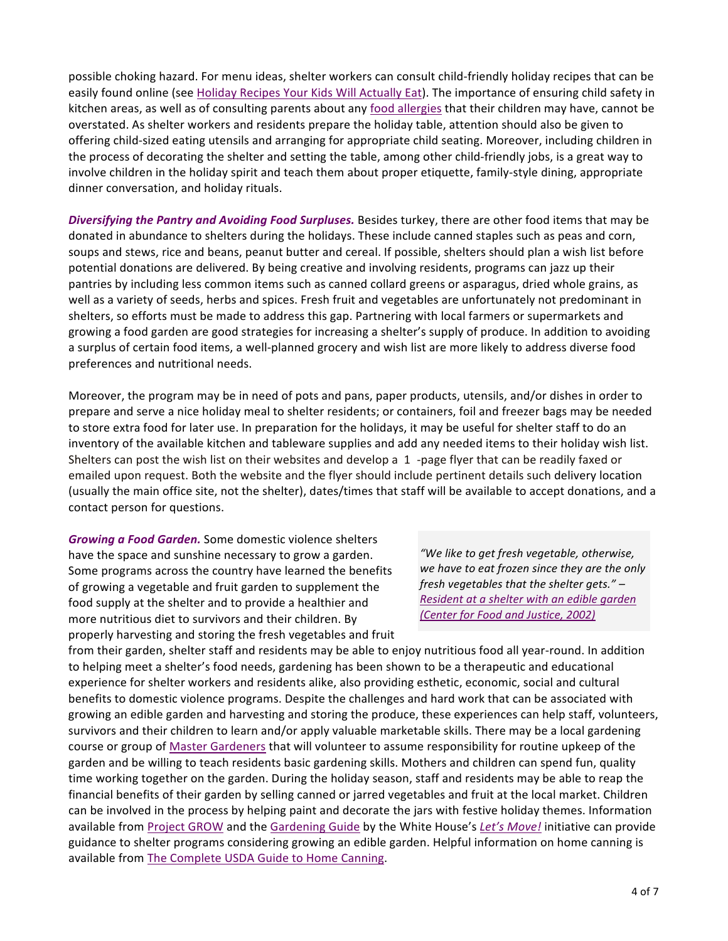possible choking hazard. For menu ideas, shelter workers can consult child-friendly holiday recipes that can be easily found online (see Holiday Recipes Your Kids Will Actually Eat). The importance of ensuring child safety in kitchen areas, as well as of consulting parents about any food allergies that their children may have, cannot be overstated. As shelter workers and residents prepare the holiday table, attention should also be given to offering child-sized eating utensils and arranging for appropriate child seating. Moreover, including children in the process of decorating the shelter and setting the table, among other child-friendly jobs, is a great way to involve children in the holiday spirit and teach them about proper etiquette, family-style dining, appropriate dinner conversation, and holiday rituals.

**Diversifying the Pantry and Avoiding Food Surpluses.** Besides turkey, there are other food items that may be donated in abundance to shelters during the holidays. These include canned staples such as peas and corn, soups and stews, rice and beans, peanut butter and cereal. If possible, shelters should plan a wish list before potential donations are delivered. By being creative and involving residents, programs can jazz up their pantries by including less common items such as canned collard greens or asparagus, dried whole grains, as well as a variety of seeds, herbs and spices. Fresh fruit and vegetables are unfortunately not predominant in shelters, so efforts must be made to address this gap. Partnering with local farmers or supermarkets and growing a food garden are good strategies for increasing a shelter's supply of produce. In addition to avoiding a surplus of certain food items, a well-planned grocery and wish list are more likely to address diverse food preferences and nutritional needs.

Moreover, the program may be in need of pots and pans, paper products, utensils, and/or dishes in order to prepare and serve a nice holiday meal to shelter residents; or containers, foil and freezer bags may be needed to store extra food for later use. In preparation for the holidays, it may be useful for shelter staff to do an inventory of the available kitchen and tableware supplies and add any needed items to their holiday wish list. Shelters can post the wish list on their websites and develop a 1 -page flyer that can be readily faxed or emailed upon request. Both the website and the flyer should include pertinent details such delivery location (usually the main office site, not the shelter), dates/times that staff will be available to accept donations, and a contact person for questions.

*Growing a Food Garden.* Some domestic violence shelters have the space and sunshine necessary to grow a garden. Some programs across the country have learned the benefits of growing a vegetable and fruit garden to supplement the food supply at the shelter and to provide a healthier and more nutritious diet to survivors and their children. By properly harvesting and storing the fresh vegetables and fruit

*"We like to get fresh vegetable, otherwise,*  we have to eat frozen since they are the only *fresh vegetables that the shelter gets." –* **Resident at a shelter with an edible garden** *(Center for Food and Justice, 2002)*

from their garden, shelter staff and residents may be able to enjoy nutritious food all year-round. In addition to helping meet a shelter's food needs, gardening has been shown to be a therapeutic and educational experience for shelter workers and residents alike, also providing esthetic, economic, social and cultural benefits to domestic violence programs. Despite the challenges and hard work that can be associated with growing an edible garden and harvesting and storing the produce, these experiences can help staff, volunteers, survivors and their children to learn and/or apply valuable marketable skills. There may be a local gardening course or group of Master Gardeners that will volunteer to assume responsibility for routine upkeep of the garden and be willing to teach residents basic gardening skills. Mothers and children can spend fun, quality time working together on the garden. During the holiday season, staff and residents may be able to reap the financial benefits of their garden by selling canned or jarred vegetables and fruit at the local market. Children can be involved in the process by helping paint and decorate the jars with festive holiday themes. Information available from Project GROW and the Gardening Guide by the White House's Let's Move! initiative can provide guidance to shelter programs considering growing an edible garden. Helpful information on home canning is available from The Complete USDA Guide to Home Canning.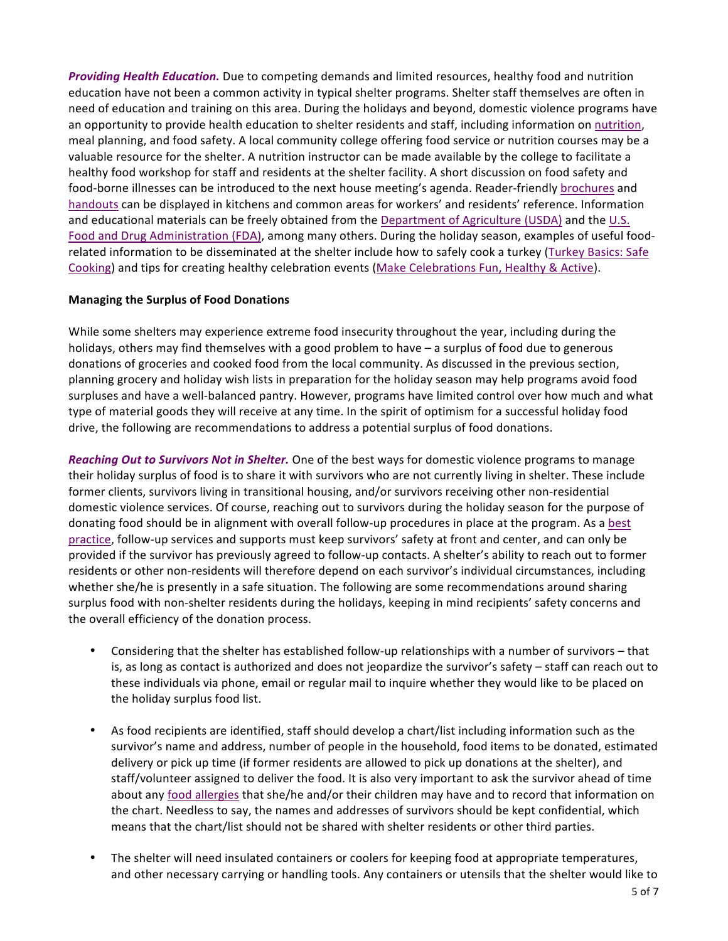**Providing Health Education.** Due to competing demands and limited resources, healthy food and nutrition education have not been a common activity in typical shelter programs. Shelter staff themselves are often in need of education and training on this area. During the holidays and beyond, domestic violence programs have an opportunity to provide health education to shelter residents and staff, including information on nutrition, meal planning, and food safety. A local community college offering food service or nutrition courses may be a valuable resource for the shelter. A nutrition instructor can be made available by the college to facilitate a healthy food workshop for staff and residents at the shelter facility. A short discussion on food safety and food-borne illnesses can be introduced to the next house meeting's agenda. Reader-friendly brochures and handouts can be displayed in kitchens and common areas for workers' and residents' reference. Information and educational materials can be freely obtained from the Department of Agriculture (USDA) and the U.S. Food and Drug Administration (FDA), among many others. During the holiday season, examples of useful foodrelated information to be disseminated at the shelter include how to safely cook a turkey (Turkey Basics: Safe [Cooking\)](http://www.fsis.usda.gov/pdf/turkey_basics_safe_cooking.pdf) and tips for creating healthy celebration events (Make Celebrations Fun, Healthy & Active).

# **Managing the Surplus of Food Donations**

While some shelters may experience extreme food insecurity throughout the year, including during the holidays, others may find themselves with a good problem to have  $-$  a surplus of food due to generous donations of groceries and cooked food from the local community. As discussed in the previous section, planning grocery and holiday wish lists in preparation for the holiday season may help programs avoid food surpluses and have a well-balanced pantry. However, programs have limited control over how much and what type of material goods they will receive at any time. In the spirit of optimism for a successful holiday food drive, the following are recommendations to address a potential surplus of food donations.

*Reaching Out to Survivors Not in Shelter.* One of the best ways for domestic violence programs to manage their holiday surplus of food is to share it with survivors who are not currently living in shelter. These include former clients, survivors living in transitional housing, and/or survivors receiving other non-residential domestic violence services. Of course, reaching out to survivors during the holiday season for the purpose of donating food should be in alignment with overall follow-up procedures in place at the program. As a best [practice](http://www.vawnet.org/Assoc_Files_VAWnet/BestPracticesManual.pdf), follow-up services and supports must keep survivors' safety at front and center, and can only be provided if the survivor has previously agreed to follow-up contacts. A shelter's ability to reach out to former residents or other non-residents will therefore depend on each survivor's individual circumstances, including whether she/he is presently in a safe situation. The following are some recommendations around sharing surplus food with non-shelter residents during the holidays, keeping in mind recipients' safety concerns and the overall efficiency of the donation process.

- Considering that the shelter has established follow-up relationships with a number of survivors that is, as long as contact is authorized and does not jeopardize the survivor's safety – staff can reach out to these individuals via phone, email or regular mail to inquire whether they would like to be placed on the holiday surplus food list.
- As food recipients are identified, staff should develop a chart/list including information such as the survivor's name and address, number of people in the household, food items to be donated, estimated delivery or pick up time (if former residents are allowed to pick up donations at the shelter), and staff/volunteer assigned to deliver the food. It is also very important to ask the survivor ahead of time about any food allergies that she/he and/or their children may have and to record that information on the chart. Needless to say, the names and addresses of survivors should be kept confidential, which means that the chart/list should not be shared with shelter residents or other third parties.
- The shelter will need insulated containers or coolers for keeping food at appropriate temperatures, and other necessary carrying or handling tools. Any containers or utensils that the shelter would like to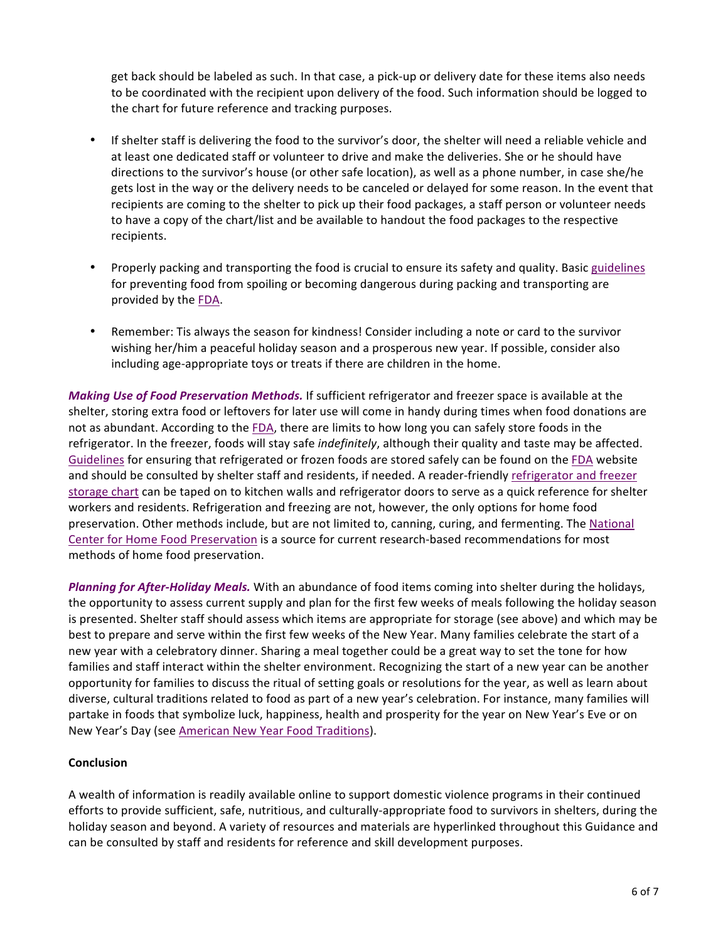get back should be labeled as such. In that case, a pick-up or delivery date for these items also needs to be coordinated with the recipient upon delivery of the food. Such information should be logged to the chart for future reference and tracking purposes.

- If shelter staff is delivering the food to the survivor's door, the shelter will need a reliable vehicle and at least one dedicated staff or volunteer to drive and make the deliveries. She or he should have directions to the survivor's house (or other safe location), as well as a phone number, in case she/he gets lost in the way or the delivery needs to be canceled or delayed for some reason. In the event that recipients are coming to the shelter to pick up their food packages, a staff person or volunteer needs to have a copy of the chart/list and be available to handout the food packages to the respective recipients.
- Properly packing and transporting the food is crucial to ensure its safety and quality. Basic guidelines for preventing food from spoiling or becoming dangerous during packing and transporting are provided by the FDA.
- Remember: Tis always the season for kindness! Consider including a note or card to the survivor wishing her/him a peaceful holiday season and a prosperous new year. If possible, consider also including age-appropriate toys or treats if there are children in the home.

*Making Use of Food Preservation Methods.* If sufficient refrigerator and freezer space is available at the shelter, storing extra food or leftovers for later use will come in handy during times when food donations are not as abundant. According to the FDA, there are limits to how long you can safely store foods in the refrigerator. In the freezer, foods will stay safe indefinitely, although their quality and taste may be affected. Guidelines for ensuring that refrigerated or frozen foods are stored safely can be found on the FDA website and should be consulted by shelter staff and residents, if needed. A reader-friendly refrigerator and freezer storage chart can be taped on to kitchen walls and refrigerator doors to serve as a quick reference for shelter workers and residents. Refrigeration and freezing are not, however, the only options for home food preservation. Other methods include, but are not limited to, canning, curing, and fermenting. The National Center for Home Food Preservation is a source for current research-based recommendations for most methods of home food preservation.

Planning for After-Holiday Meals. With an abundance of food items coming into shelter during the holidays, the opportunity to assess current supply and plan for the first few weeks of meals following the holiday season is presented. Shelter staff should assess which items are appropriate for storage (see above) and which may be best to prepare and serve within the first few weeks of the New Year. Many families celebrate the start of a new year with a celebratory dinner. Sharing a meal together could be a great way to set the tone for how families and staff interact within the shelter environment. Recognizing the start of a new year can be another opportunity for families to discuss the ritual of setting goals or resolutions for the year, as well as learn about diverse, cultural traditions related to food as part of a new year's celebration. For instance, many families will partake in foods that symbolize luck, happiness, health and prosperity for the year on New Year's Eve or on New Year's Day (see American New Year Food Traditions).

# **Conclusion**

A wealth of information is readily available online to support domestic violence programs in their continued efforts to provide sufficient, safe, nutritious, and culturally-appropriate food to survivors in shelters, during the holiday season and beyond. A variety of resources and materials are hyperlinked throughout this Guidance and can be consulted by staff and residents for reference and skill development purposes.